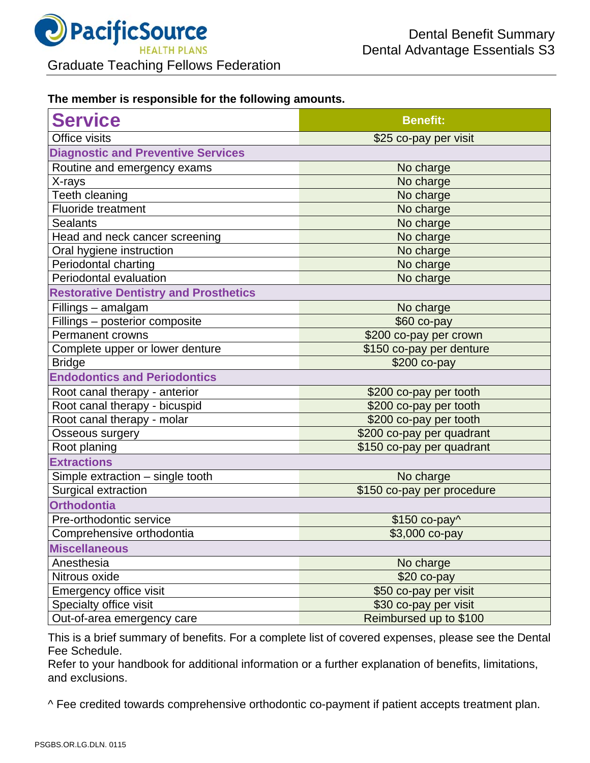

## **The member is responsible for the following amounts.**

| <b>Service</b>                               | <b>Benefit:</b>            |
|----------------------------------------------|----------------------------|
| Office visits                                | \$25 co-pay per visit      |
| <b>Diagnostic and Preventive Services</b>    |                            |
| Routine and emergency exams                  | No charge                  |
| X-rays                                       | No charge                  |
| Teeth cleaning                               | No charge                  |
| <b>Fluoride treatment</b>                    | No charge                  |
| <b>Sealants</b>                              | No charge                  |
| Head and neck cancer screening               | No charge                  |
| Oral hygiene instruction                     | No charge                  |
| Periodontal charting                         | No charge                  |
| Periodontal evaluation                       | No charge                  |
| <b>Restorative Dentistry and Prosthetics</b> |                            |
| Fillings - amalgam                           | No charge                  |
| Fillings - posterior composite               | \$60 co-pay                |
| Permanent crowns                             | \$200 co-pay per crown     |
| Complete upper or lower denture              | \$150 co-pay per denture   |
| <b>Bridge</b>                                | \$200 co-pay               |
| <b>Endodontics and Periodontics</b>          |                            |
| Root canal therapy - anterior                | \$200 co-pay per tooth     |
| Root canal therapy - bicuspid                | \$200 co-pay per tooth     |
| Root canal therapy - molar                   | \$200 co-pay per tooth     |
| Osseous surgery                              | \$200 co-pay per quadrant  |
| Root planing                                 | \$150 co-pay per quadrant  |
| <b>Extractions</b>                           |                            |
| Simple extraction - single tooth             | No charge                  |
| Surgical extraction                          | \$150 co-pay per procedure |
| <b>Orthodontia</b>                           |                            |
| Pre-orthodontic service                      | \$150 co-pay^              |
| Comprehensive orthodontia                    | \$3,000 co-pay             |
| <b>Miscellaneous</b>                         |                            |
| Anesthesia                                   | No charge                  |
| Nitrous oxide                                | $$20$ co-pay               |
| <b>Emergency office visit</b>                | \$50 co-pay per visit      |
| Specialty office visit                       | \$30 co-pay per visit      |
| Out-of-area emergency care                   | Reimbursed up to \$100     |

This is a brief summary of benefits. For a complete list of covered expenses, please see the Dental Fee Schedule.

Refer to your handbook for additional information or a further explanation of benefits, limitations, and exclusions.

^ Fee credited towards comprehensive orthodontic co-payment if patient accepts treatment plan.